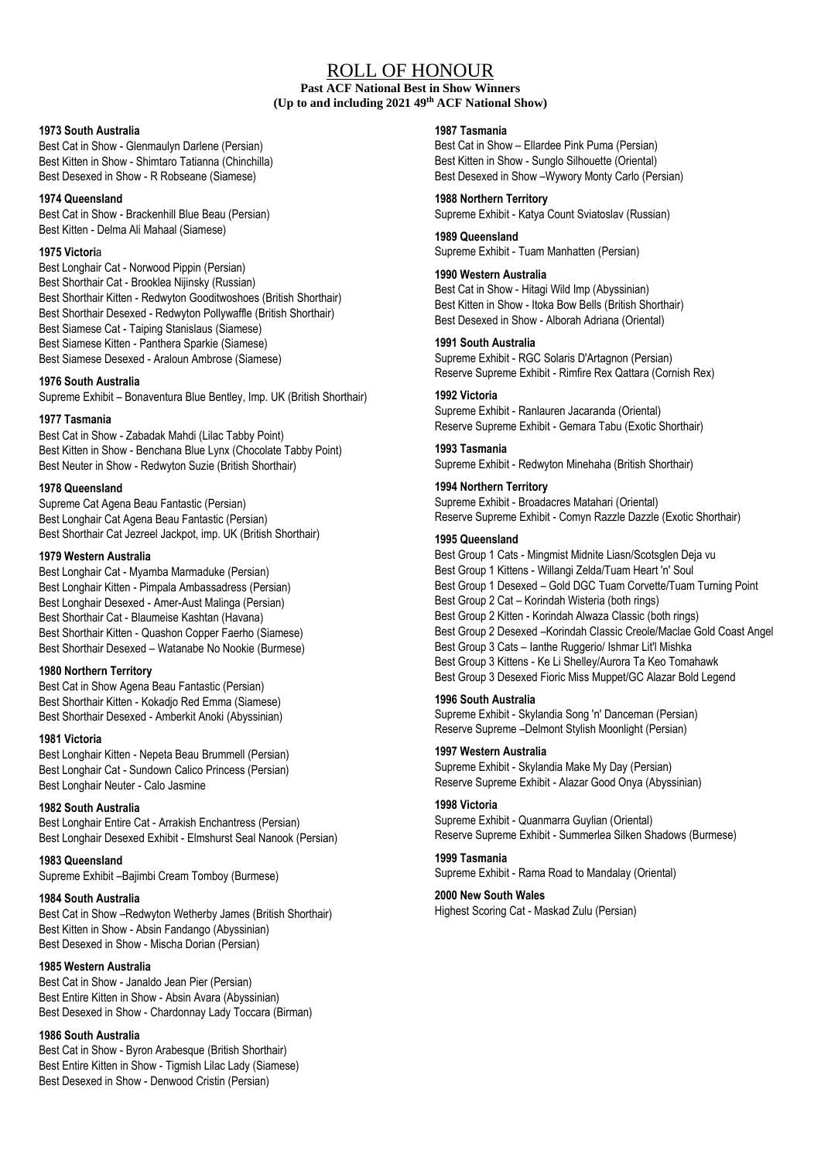# ROLL OF HONOUR

**Past ACF National Best in Show Winners (Up to and including 2021 49 th ACF National Show)**

### **1973 South Australia**

Best Cat in Show - Glenmaulyn Darlene (Persian) Best Kitten in Show - Shimtaro Tatianna (Chinchilla) Best Desexed in Show - R Robseane (Siamese)

## **1974 Queensland**

Best Cat in Show - Brackenhill Blue Beau (Persian) Best Kitten - Delma Ali Mahaal (Siamese)

### **1975 Victori**a

Best Longhair Cat - Norwood Pippin (Persian) Best Shorthair Cat - Brooklea Nijinsky (Russian) Best Shorthair Kitten - Redwyton Gooditwoshoes (British Shorthair) Best Shorthair Desexed - Redwyton Pollywaffle (British Shorthair) Best Siamese Cat - Taiping Stanislaus (Siamese) Best Siamese Kitten - Panthera Sparkie (Siamese) Best Siamese Desexed - Araloun Ambrose (Siamese)

# **1976 South Australia**

Supreme Exhibit – Bonaventura Blue Bentley, Imp. UK (British Shorthair)

# **1977 Tasmania**

Best Cat in Show - Zabadak Mahdi (Lilac Tabby Point) Best Kitten in Show - Benchana Blue Lynx (Chocolate Tabby Point) Best Neuter in Show - Redwyton Suzie (British Shorthair)

## **1978 Queensland**

Supreme Cat Agena Beau Fantastic (Persian) Best Longhair Cat Agena Beau Fantastic (Persian) Best Shorthair Cat Jezreel Jackpot, imp. UK (British Shorthair)

### **1979 Western Australia**

Best Longhair Cat - Myamba Marmaduke (Persian) Best Longhair Kitten - Pimpala Ambassadress (Persian) Best Longhair Desexed - Amer-Aust Malinga (Persian) Best Shorthair Cat - Blaumeise Kashtan (Havana) Best Shorthair Kitten - Quashon Copper Faerho (Siamese) Best Shorthair Desexed – Watanabe No Nookie (Burmese)

### **1980 Northern Territory**

Best Cat in Show Agena Beau Fantastic (Persian) Best Shorthair Kitten - Kokadjo Red Emma (Siamese) Best Shorthair Desexed - Amberkit Anoki (Abyssinian)

#### **1981 Victoria**

Best Longhair Kitten - Nepeta Beau Brummell (Persian) Best Longhair Cat - Sundown Calico Princess (Persian) Best Longhair Neuter - Calo Jasmine

# **1982 South Australia**

Best Longhair Entire Cat - Arrakish Enchantress (Persian) Best Longhair Desexed Exhibit - Elmshurst Seal Nanook (Persian)

# **1983 Queensland**

Supreme Exhibit –Bajimbi Cream Tomboy (Burmese)

**1984 South Australia** Best Cat in Show –Redwyton Wetherby James (British Shorthair) Best Kitten in Show - Absin Fandango (Abyssinian) Best Desexed in Show - Mischa Dorian (Persian)

# **1985 Western Australia**

Best Cat in Show - Janaldo Jean Pier (Persian) Best Entire Kitten in Show - Absin Avara (Abyssinian) Best Desexed in Show - Chardonnay Lady Toccara (Birman)

# **1986 South Australia**

Best Cat in Show - Byron Arabesque (British Shorthair) Best Entire Kitten in Show - Tigmish Lilac Lady (Siamese) Best Desexed in Show - Denwood Cristin (Persian)

### **1987 Tasmania**

Best Cat in Show – Ellardee Pink Puma (Persian) Best Kitten in Show - Sunglo Silhouette (Oriental) Best Desexed in Show –Wywory Monty Carlo (Persian)

**1988 Northern Territory** Supreme Exhibit - Katya Count Sviatoslav (Russian)

**1989 Queensland**  Supreme Exhibit - Tuam Manhatten (Persian)

## **1990 Western Australia**

Best Cat in Show - Hitagi Wild Imp (Abyssinian) Best Kitten in Show - Itoka Bow Bells (British Shorthair) Best Desexed in Show - Alborah Adriana (Oriental)

# **1991 South Australia**

Supreme Exhibit - RGC Solaris D'Artagnon (Persian) Reserve Supreme Exhibit - Rimfire Rex Qattara (Cornish Rex)

### **1992 Victoria**

Supreme Exhibit - Ranlauren Jacaranda (Oriental) Reserve Supreme Exhibit - Gemara Tabu (Exotic Shorthair)

# **1993 Tasmania**

Supreme Exhibit - Redwyton Minehaha (British Shorthair)

**1994 Northern Territory** Supreme Exhibit - Broadacres Matahari (Oriental) Reserve Supreme Exhibit - Comyn Razzle Dazzle (Exotic Shorthair)

# **1995 Queensland**

Best Group 1 Cats - Mingmist Midnite Liasn/Scotsglen Deja vu Best Group 1 Kittens - Willangi Zelda/Tuam Heart 'n' Soul Best Group 1 Desexed – Gold DGC Tuam Corvette/Tuam Turning Point Best Group 2 Cat – Korindah Wisteria (both rings) Best Group 2 Kitten - Korindah Alwaza Classic (both rings) Best Group 2 Desexed –Korindah Classic Creole/Maclae Gold Coast Angel Best Group 3 Cats – Ianthe Ruggerio/ Ishmar Lit'l Mishka Best Group 3 Kittens - Ke Li Shelley/Aurora Ta Keo Tomahawk Best Group 3 Desexed Fioric Miss Muppet/GC Alazar Bold Legend

# **1996 South Australia**

Supreme Exhibit - Skylandia Song 'n' Danceman (Persian) Reserve Supreme –Delmont Stylish Moonlight (Persian)

# **1997 Western Australia**

Supreme Exhibit - Skylandia Make My Day (Persian) Reserve Supreme Exhibit - Alazar Good Onya (Abyssinian)

### **1998 Victoria**

Supreme Exhibit - Quanmarra Guylian (Oriental) Reserve Supreme Exhibit - Summerlea Silken Shadows (Burmese)

# **1999 Tasmania**

Supreme Exhibit - Rama Road to Mandalay (Oriental)

## **2000 New South Wales**

Highest Scoring Cat - Maskad Zulu (Persian)